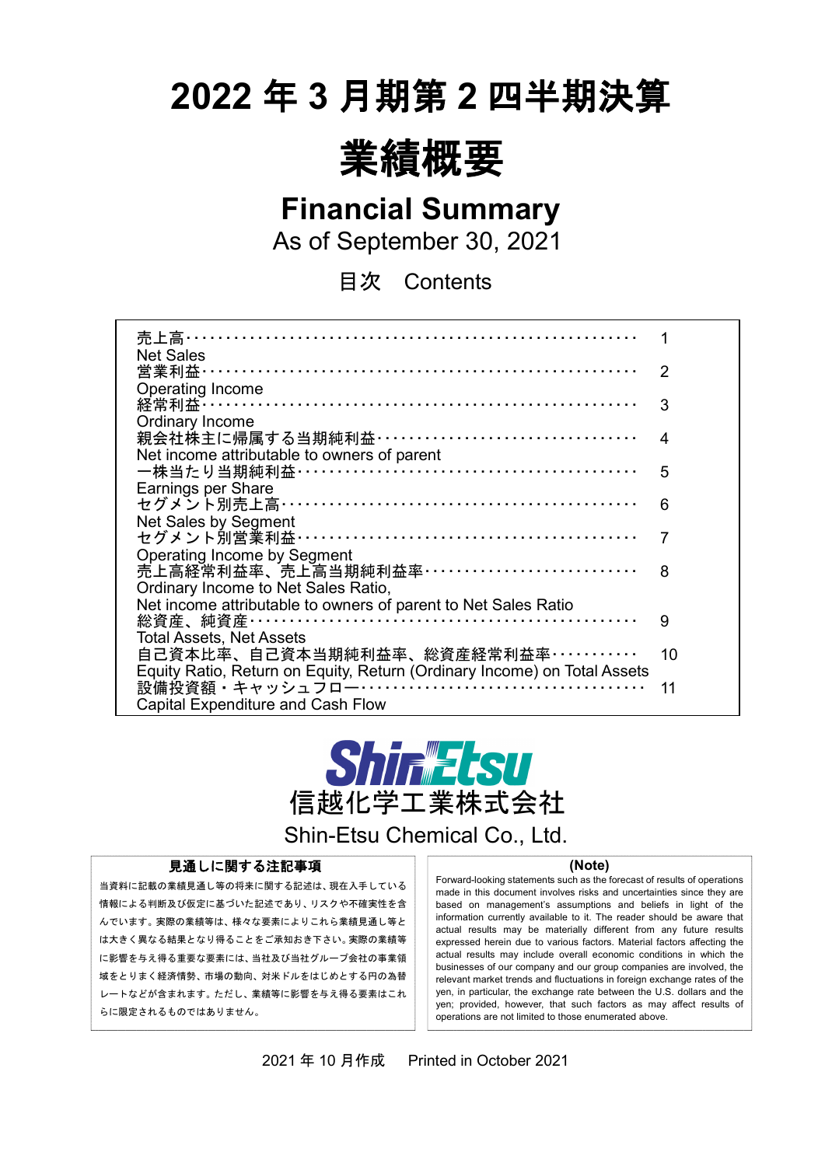# **2022** 年 **3** 月期第 **2** 四半期決算



**Financial Summary**

As of September 30, 2021

目次 Contents

| 売上高………………………………………………                                                    |    |
|--------------------------------------------------------------------------|----|
| <b>Net Sales</b>                                                         |    |
| 営業利益…………………………………………………………                                               | 2  |
| Operating Income                                                         |    |
| 経常利益 ……………………………………………………………                                             | 3  |
| Ordinary Income                                                          |    |
| 親会社株主に帰属する当期純利益 ··································                       | 4  |
| Net income attributable to owners of parent                              |    |
| 一株当たり当期純利益 ……………………………………………                                             | 5  |
| Earnings per Share                                                       |    |
| セグメント別売上高 ………………………………………………                                             | 6  |
| <b>Net Sales by Segment</b>                                              |    |
| セグメント別営業利益 ……………………………………………                                             | 7  |
| <b>Operating Income by Segment</b>                                       |    |
| 売上高経常利益率、売上高当期純利益率……………………………                                            | 8  |
| Ordinary Income to Net Sales Ratio,                                      |    |
| Net income attributable to owners of parent to Net Sales Ratio           |    |
| 総資産、純資産…………………………………………………                                               | 9  |
| <b>Total Assets, Net Assets</b>                                          |    |
| 自己資本比率、自己資本当期純利益率、総資産経常利益率…………                                           | 10 |
| Equity Ratio, Return on Equity, Return (Ordinary Income) on Total Assets |    |
|                                                                          | 11 |
| <b>Capital Expenditure and Cash Flow</b>                                 |    |
|                                                                          |    |



Shin-Etsu Chemical Co., Ltd.

#### 見通しに関する注記事項

当資料に記載の業績見通し等の将来に関する記述は、現在入手している 情報による判断及び仮定に基づいた記述であり、リスクや不確実性を含 んでいます。実際の業績等は、様々な要素によりこれら業績見通し等と は大きく異なる結果となり得ることをご承知おき下さい。実際の業績等 に影響を与え得る重要な要素には、当社及び当社グループ会社の事業領 域をとりまく経済情勢、市場の動向、対米ドルをはじめとする円の為替 レートなどが含まれます。ただし、業績等に影響を与え得る要素はこれ らに限定されるものではありません。

 $\overline{a}$ 

#### **(Note)**

Forward-looking statements such as the forecast of results of operations made in this document involves risks and uncertainties since they are based on management's assumptions and beliefs in light of the information currently available to it. The reader should be aware that actual results may be materially different from any future results expressed herein due to various factors. Material factors affecting the actual results may include overall economic conditions in which the businesses of our company and our group companies are involved, the relevant market trends and fluctuations in foreign exchange rates of the yen, in particular, the exchange rate between the U.S. dollars and the yen; provided, however, that such factors as may affect results of operations are not limited to those enumerated above.

2021 年 10 月作成 Printed in October 2021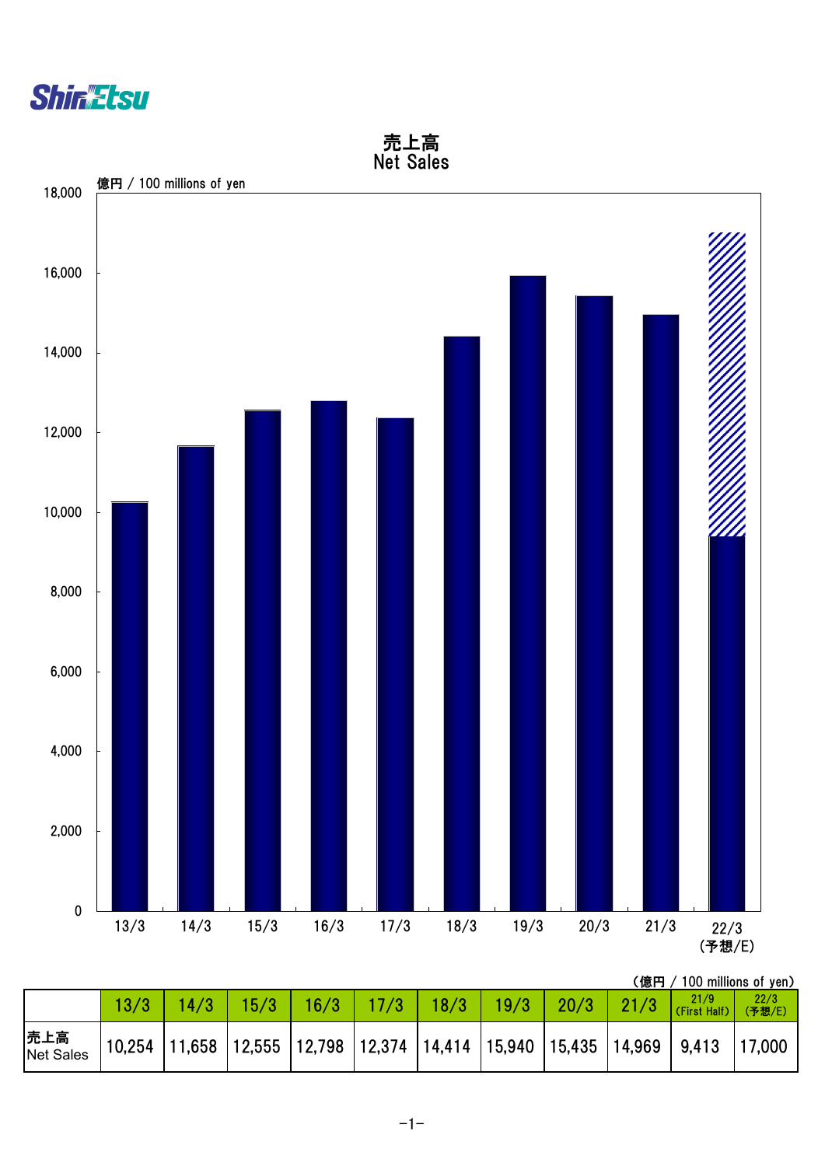

 Net Sales 億円 / 100 millions of yen18,000 16,000 14,000 12,000 10,000 <u>ИІ</u> 8,000 6,000 4,000 2,000 0 13/3 14/3 15/3 16/3 17/3 18/3 19/3 20/3 21/3 22/3

売上高

(予想/E)

|                         |      |                              |  |  |  | (億円 / 100 millions of yen)                                                    |                |
|-------------------------|------|------------------------------|--|--|--|-------------------------------------------------------------------------------|----------------|
|                         | 13/3 | $\parallel$ 14/3 $\parallel$ |  |  |  | 15/3   16/3   17/3   18/3   19/3   20/3   21/3 $\frac{21/9}{\frac{21}{9}}$    | 22/3<br>(予想/E) |
| 売上高<br><b>Net Sales</b> |      |                              |  |  |  | $10,254$ 11,658 12,555 12,798 12,374 14,414 15,940 15,435 14,969 9,413 17,000 |                |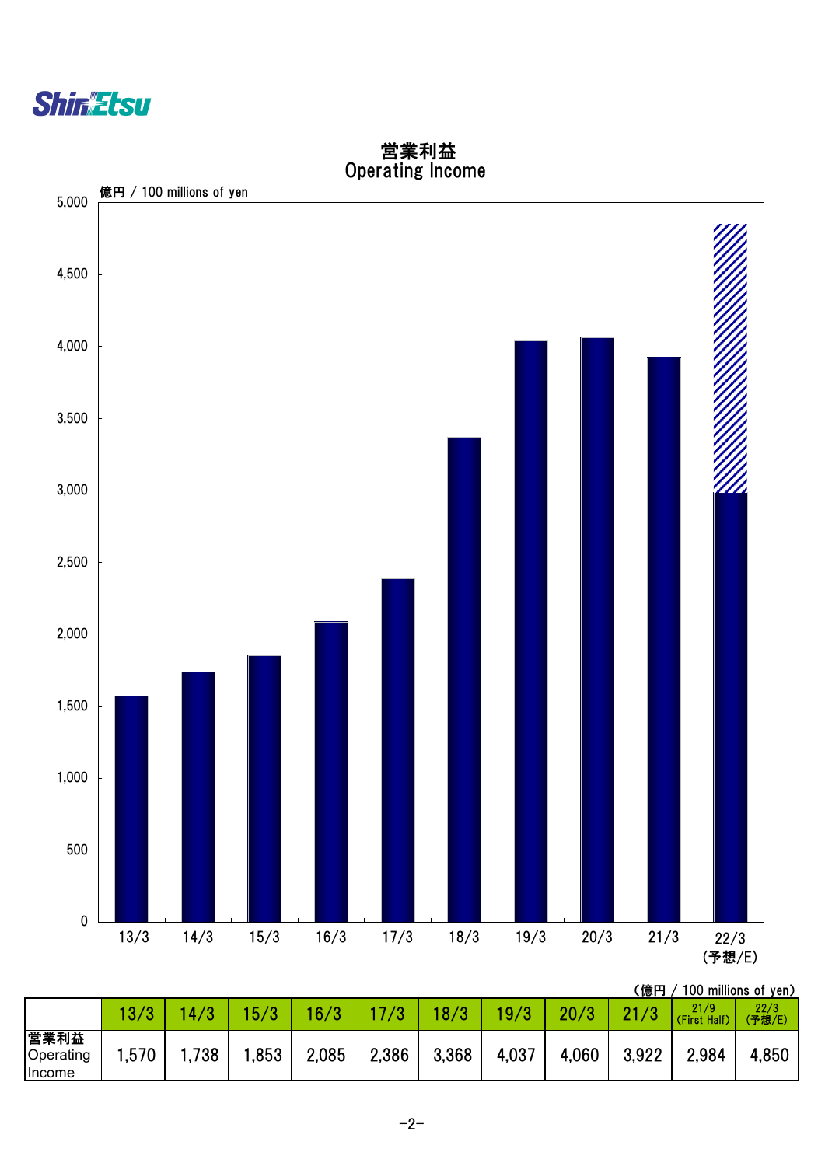



## 営業利益 Operating Income

(億円 / 100 millions of yen)

|                             | 13/3 | 4/3  | 5 <sub>l</sub> | 16/3  |       | 18/3  | 19/3  | 20/3  | . <i>.</i><br>21 | 21/9<br>(First Half) | 22/3<br>(予想/E) |
|-----------------------------|------|------|----------------|-------|-------|-------|-------|-------|------------------|----------------------|----------------|
| 営業利益<br>Operating<br>Income | ,570 | ,738 | ,853           | 2,085 | 2,386 | 3,368 | 4,037 | 4,060 | 3,922            | 2,984                | 4,850          |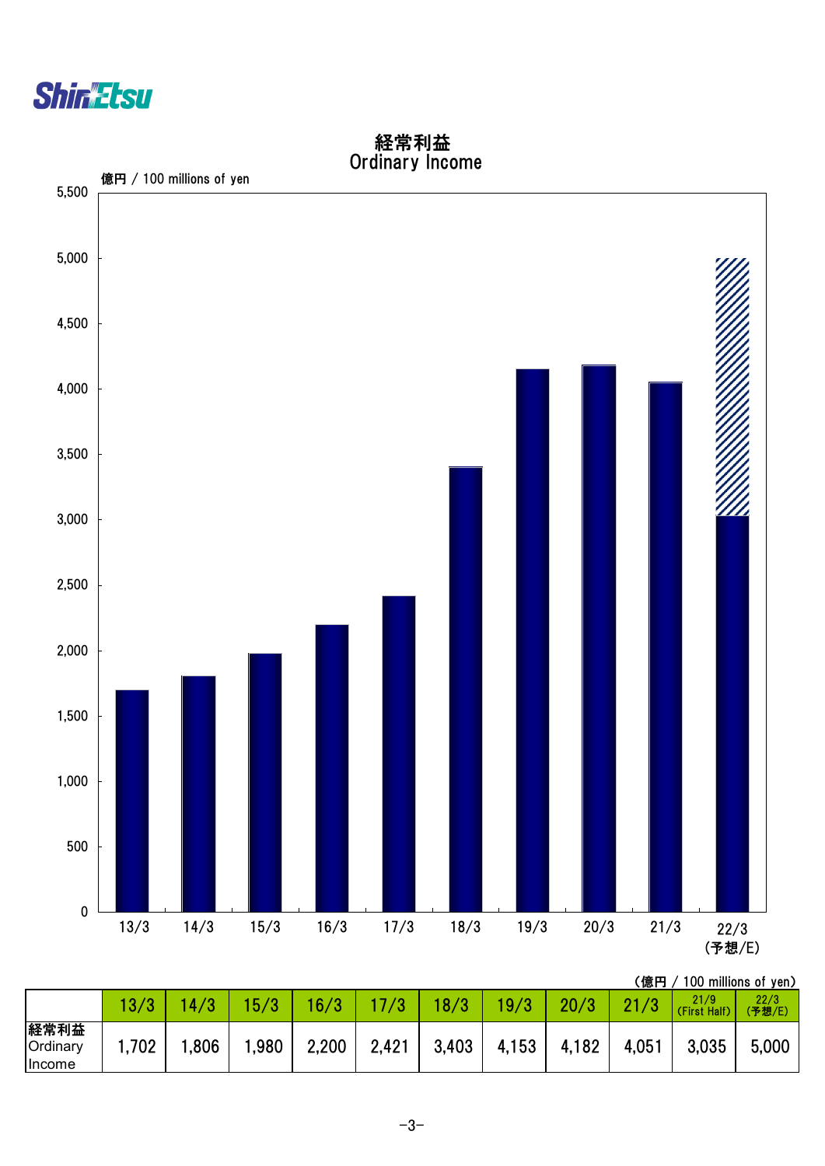



## 経常利益 Ordinary Income

(億円 / 100 millions of yen)

|                            |       | 4,   | 5/3  | 16/3  |       | 18/3  | 19/3  | 20/3  |       | 21/9<br>Half)<br>(First | 22/3<br>(予想/E) |
|----------------------------|-------|------|------|-------|-------|-------|-------|-------|-------|-------------------------|----------------|
| 経常利益<br>Ordinary<br>Income | 1,702 | ,806 | ,980 | 2,200 | 2,421 | 3,403 | 4,153 | 4,182 | 4,051 | 3,035                   | 5,000          |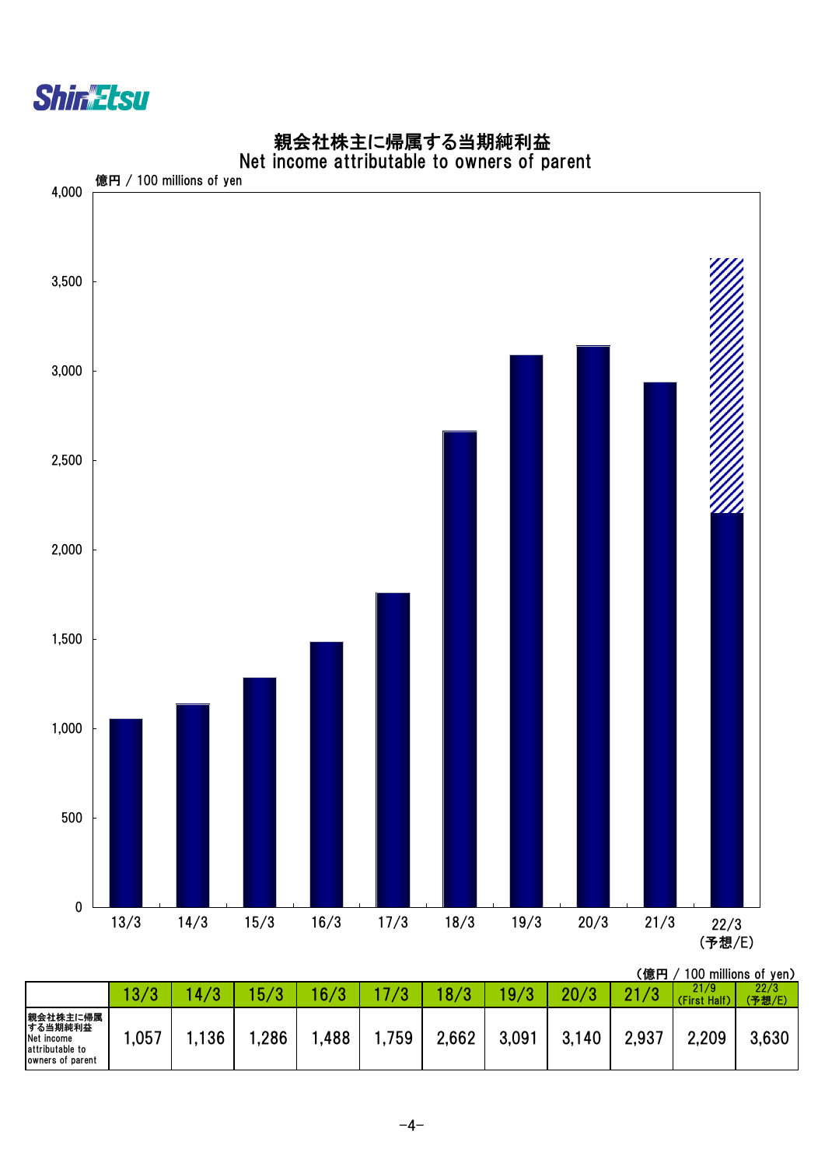

#### 親会社株主に帰属する当期純利益 Net income attributable to owners of parent



|                                                                          | $\overline{13}$ | 4   | $\overline{10}$ | 16/3 |       | 1 O I |       | 20/2  |       | 21/9<br>(First Half) | 22/3<br>(予想/E) |
|--------------------------------------------------------------------------|-----------------|-----|-----------------|------|-------|-------|-------|-------|-------|----------------------|----------------|
| 親会社株主に帰属<br>する当期純利益<br>Net income<br>attributable to<br>owners of parent | ,057            | 136 | ,286            | ,488 | .759، | 2,662 | 3,091 | 3,140 | 2,937 | 2,209                | 3,630          |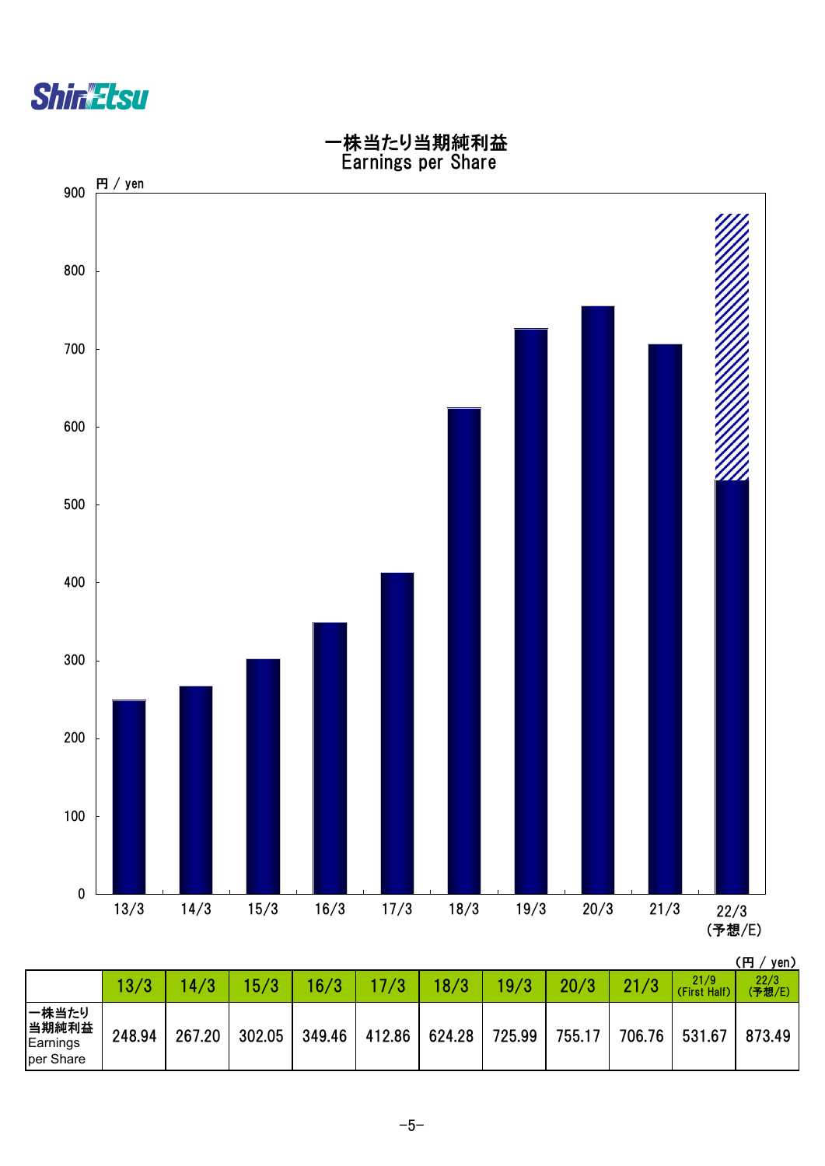



|                                         | 13/3   | 14/3   | 15/3   | 16/3   |        | 18/3   | 19/3   | 20/3   | 21/3   | 21/9<br>(First Half) | 22/3<br>(予想/E) |
|-----------------------------------------|--------|--------|--------|--------|--------|--------|--------|--------|--------|----------------------|----------------|
| 一株当たり<br>当期純利益<br>Earnings<br>per Share | 248.94 | 267.20 | 302.05 | 349.46 | 412.86 | 624.28 | 725.99 | 755.17 | 706.76 | 531.67               | 873.49         |

 $-5-$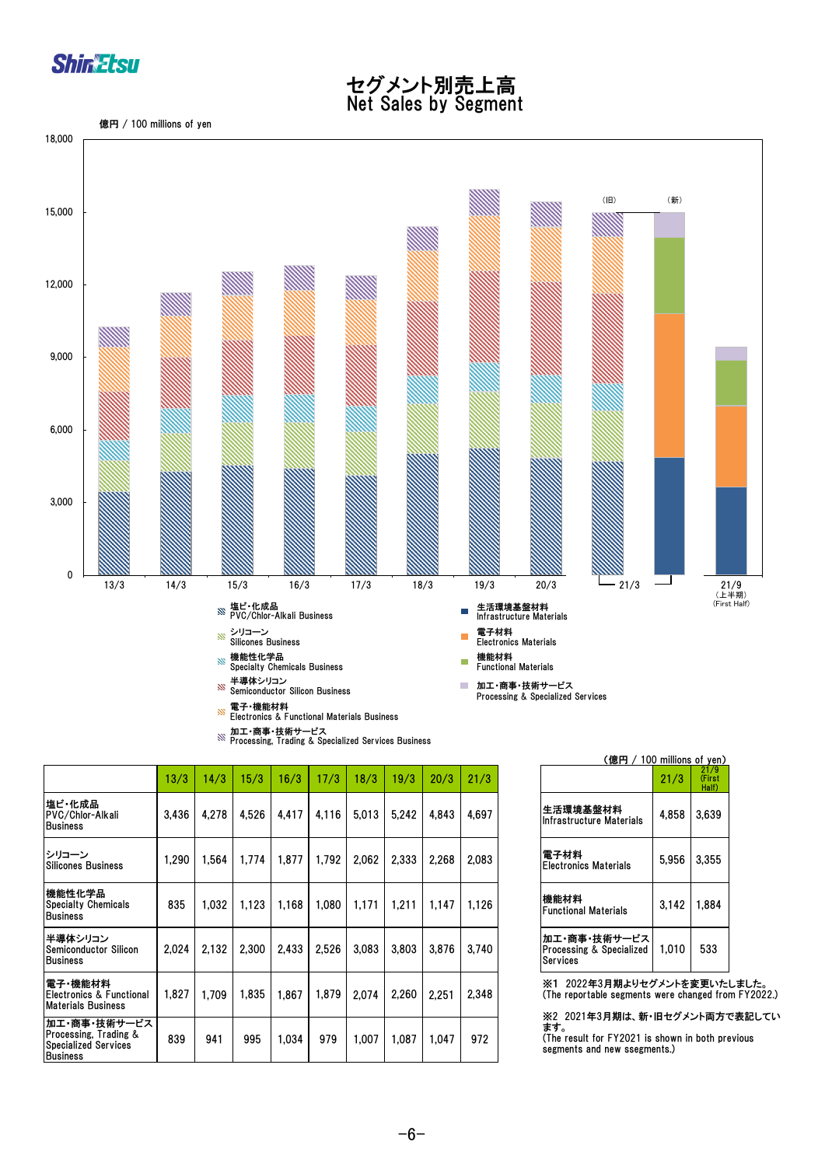

#### セグメント別売上高 Net Sales by Segment

億円 / 100 millions of yen



加工・商事・技術サービス Processing, Trading & Specialized Services Business

|                                                                                         | 13/3  | 14/3  | 15/3  | 16/3  | 17/3  | 18/3  | 19/3  | 20/3  | 21/3  |                                                                                              | 21/3  |
|-----------------------------------------------------------------------------------------|-------|-------|-------|-------|-------|-------|-------|-------|-------|----------------------------------------------------------------------------------------------|-------|
| 塩ビ・化成品<br>PVC/Chlor-Alkali<br><b>Business</b>                                           | 3,436 | 4,278 | 4,526 | 4,417 | 4,116 | 5,013 | 5,242 | 4,843 | 4,697 | 生活環境基盤材料<br>Infrastructure Materials                                                         | 4,858 |
| シリコーン<br><b>Silicones Business</b>                                                      | 1.290 | 1,564 | 1,774 | 1,877 | 1,792 | 2,062 | 2,333 | 2,268 | 2,083 | 電子材料<br><b>Electronics Materials</b>                                                         | 5,956 |
| 機能性化学品<br><b>Specialty Chemicals</b><br><b>Business</b>                                 | 835   | 1.032 | 1,123 | 1,168 | 1,080 | 1,171 | 1,211 | 1.147 | 1,126 | 機能材料<br><b>Functional Materials</b>                                                          | 3,142 |
| 半導体シリコン<br><b>Semiconductor Silicon</b><br><b>Business</b>                              | 2.024 | 2.132 | 2,300 | 2,433 | 2,526 | 3.083 | 3.803 | 3.876 | 3,740 | 加工・商事・技術サービス<br>Processing & Specialized<br>Services                                         | 1.01( |
| 電子 機能材料<br>Electronics & Functional<br><b>Materials Business</b>                        | 1.827 | 1.709 | 1.835 | 1,867 | 1.879 | 2,074 | 2,260 | 2,251 | 2,348 | ※1 2022年3月期よりセグメント<br>(The reportable segments were c                                        |       |
| 加工・商事・技術サービス<br>Processing, Trading &<br><b>Specialized Services</b><br><b>Business</b> | 839   | 941   | 995   | 1,034 | 979   | 1.007 | 1.087 | 1,047 | 972   | ※2 2021年3月期は、新・旧セグ<br>ます。<br>(The result for FY2021 is shown<br>segments and new ssegments.) |       |

| (億円 / 100 millions of yen)                           |       |                         |
|------------------------------------------------------|-------|-------------------------|
|                                                      | 21/3  | 21/9<br>(First<br>Half) |
| 生活環境基盤材料<br>Infrastructure Materials                 | 4,858 | 3,639                   |
| 電子材料<br><b>Electronics Materials</b>                 | 5,956 | 3,355                   |
| 機能材料<br><b>Functional Materials</b>                  | 3,142 | 1,884                   |
| 加工・商事・技術サービス<br>Processing & Specialized<br>Services | 1,010 | 533                     |

※1 2022年3月期よりセグメントを変更いたしました。 (The reportable segments were changed from FY2022.)

※2 2021年3月期は、新・旧セグメント両方で表記してい ます。 (The result for FY2021 is shown in both previous segments and new ssegments.)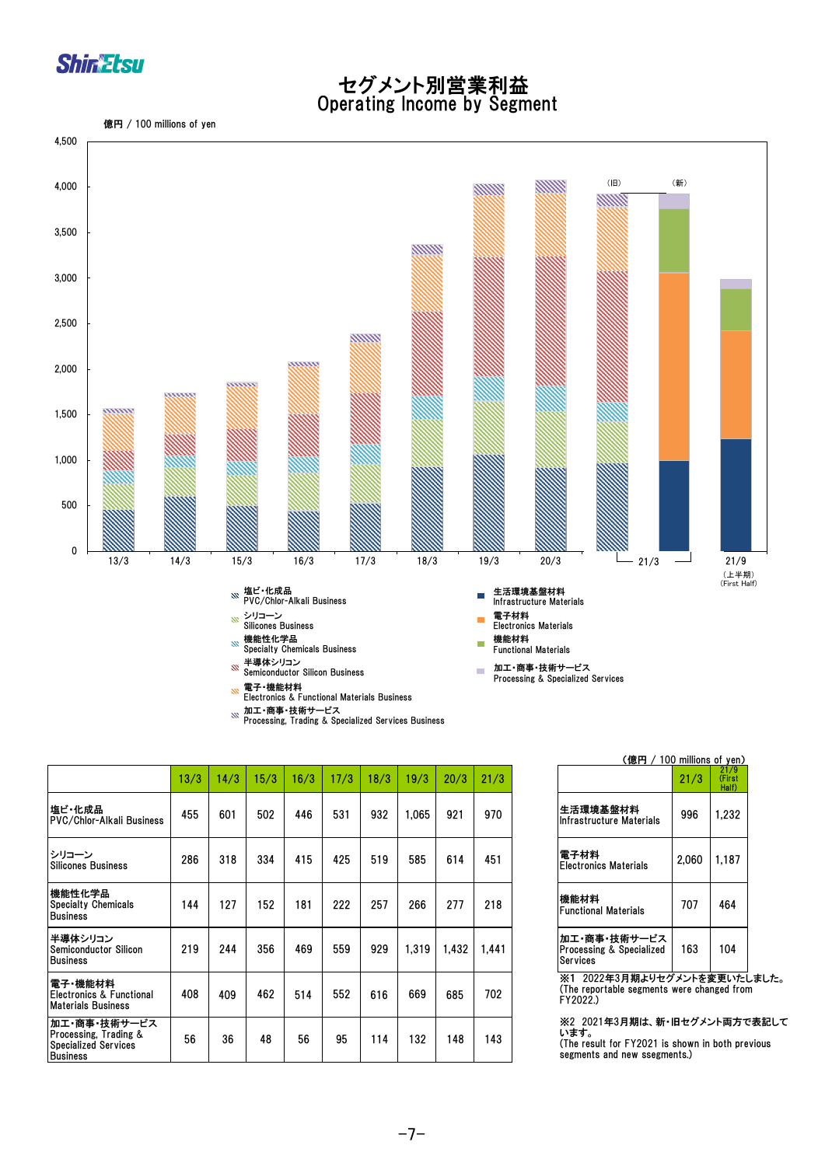

#### セグメント別営業利益 Operating Income by Segment





| Processing, Trading & Specialized Services Business |  |
|-----------------------------------------------------|--|

|                                                                                         | 13/3 | 14/3 | 15/3 | 16/3 | 17/3 | 18/3 | 19/3  | 20/3  | 21/3  |                                                                                                 | 21/3  |
|-----------------------------------------------------------------------------------------|------|------|------|------|------|------|-------|-------|-------|-------------------------------------------------------------------------------------------------|-------|
| 塩ビ・化成品 <br>PVC/Chlor-Alkali Business                                                    | 455  | 601  | 502  | 446  | 531  | 932  | 1.065 | 921   | 970   | 生活環境基盤材料<br>IInfrastructure Materials                                                           | 996   |
| シリコーン<br><b>Silicones Business</b>                                                      | 286  | 318  | 334  | 415  | 425  | 519  | 585   | 614   | 451   | 電子材料<br>lElectronics Materials                                                                  | 2,060 |
| 機能性化学品<br><b>Specialty Chemicals</b><br><b>Business</b>                                 | 144  | 127  | 152  | 181  | 222  | 257  | 266   | 277   | 218   | 機能材料<br>lFunctional Materials                                                                   | 707   |
| 半導体シリコン<br><b>Semiconductor Silicon</b><br><b>Business</b>                              | 219  | 244  | 356  | 469  | 559  | 929  | 1.319 | 1.432 | 1.441 | 加工・商事・技術サービス<br><b>Processing &amp; Specialized</b><br>Services                                 | 163   |
| 電子・機能材料 <br>Electronics & Functional<br><b>Materials Business</b>                       | 408  | 409  | 462  | 514  | 552  | 616  | 669   | 685   | 702   | ※1 2022年3月期よりセグメント?<br>(The reportable segments were cl<br>FY2022.)                             |       |
| 加工・商事・技術サービス<br>Processing, Trading &<br><b>Specialized Services</b><br><b>Business</b> | 56   | 36   | 48   | 56   | 95   | 114  | 132   | 148   | 143   | ※2 2021年3月期は、新・旧セグ.<br>います。<br>(The result for FY2021 is shown)<br>segments and new ssegments.) |       |

| (億円 / 100 millions of yen)                           |       |                         |
|------------------------------------------------------|-------|-------------------------|
|                                                      | 21/3  | 21/9<br>(First<br>Half) |
| 生活環境基盤材料<br><b>Infrastructure Materials</b>          | 996   | 1.232                   |
| 雷子材料<br><b>Electronics Materials</b>                 | 2,060 | 1,187                   |
| 機能材料<br><b>Functional Materials</b>                  | 707   | 464                     |
| 加工・商事・技術サービス<br>Processing & Specialized<br>Services | 163   | 104                     |

※1 2022年3月期よりセグメントを変更いたしました。 (The reportable segments were changed from FY2022.)

※2 2021年3月期は、新・旧セグメント両方で表記して います。

(The result for FY2021 is shown in both previous segments and new ssegments.)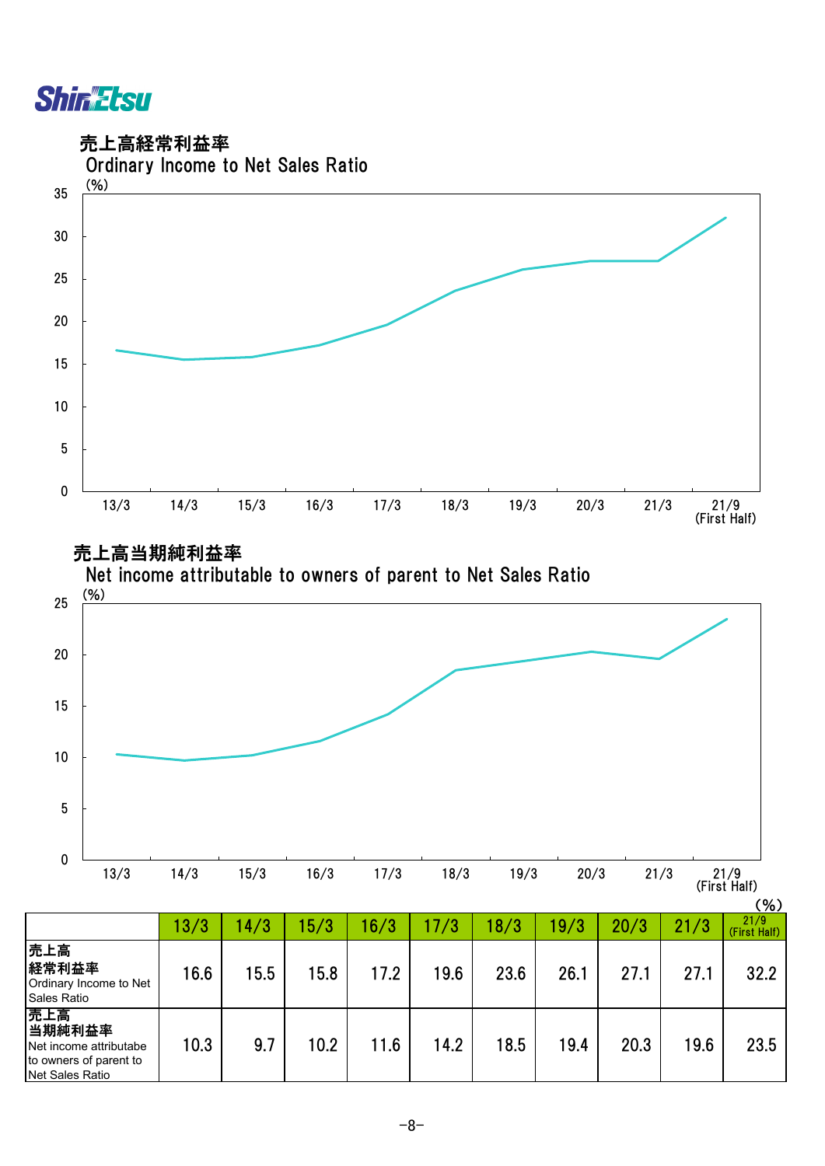

売上高経常利益率



売上高当期純利益率



|                                                                                      | 13/3 | 14/3 | 15/3 | 16/3 | 7/3  | 18/3 | 19/3 | 20/3 | 21/3 | 21/9<br>(First Half) |
|--------------------------------------------------------------------------------------|------|------|------|------|------|------|------|------|------|----------------------|
| 売上高<br>経常利益率<br>Ordinary Income to Net<br>Sales Ratio                                | 16.6 | 15.5 | 15.8 | 17.2 | 19.6 | 23.6 | 26.1 | 27.1 | 27.1 | 32.2                 |
| 売上高<br>当期純利益率<br>Net income attributabe<br>to owners of parent to<br>Net Sales Ratio | 10.3 | 9.7  | 10.2 | 11.6 | 14.2 | 18.5 | 19.4 | 20.3 | 19.6 | 23.5                 |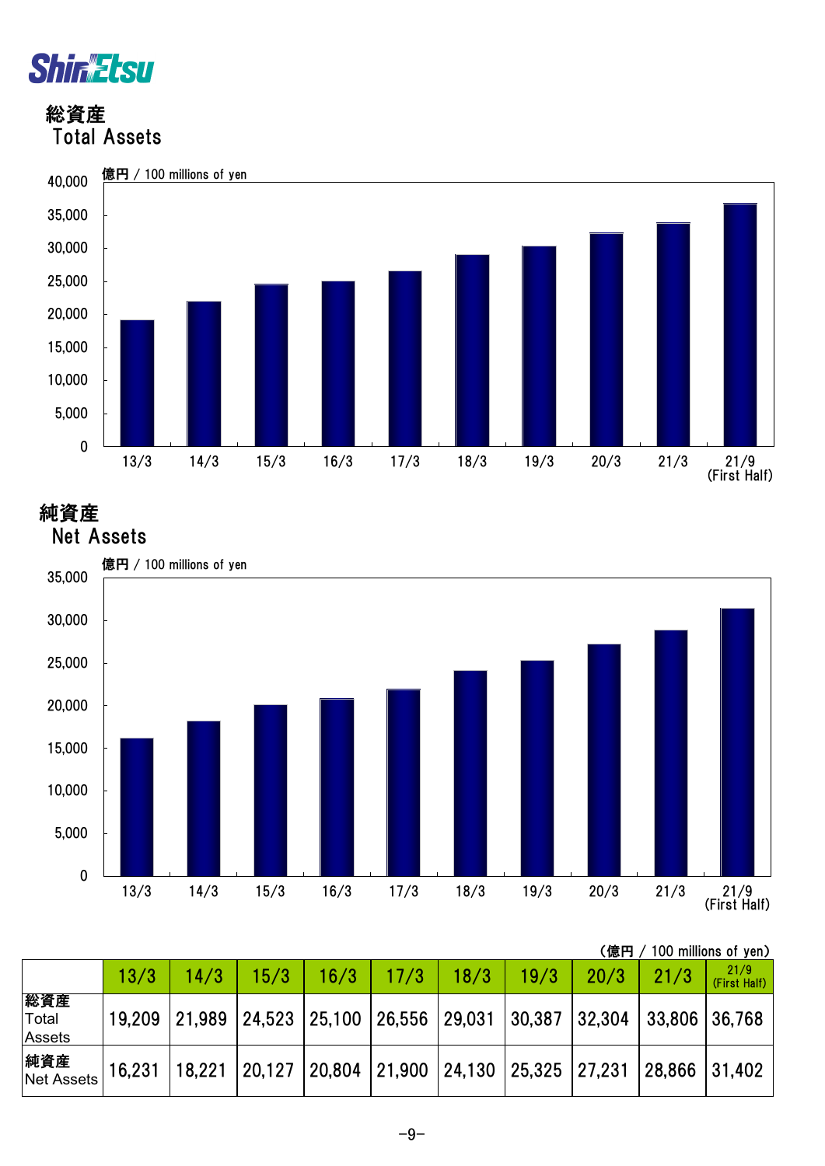

 総資産 Total Assets



純資産



|                               | / 100 millions of yen)<br>(億円 |        |      |                                                                   |      |      |      |      |      |                      |  |
|-------------------------------|-------------------------------|--------|------|-------------------------------------------------------------------|------|------|------|------|------|----------------------|--|
|                               | 13/3                          | 14/3   | 15/3 | 16/3                                                              | 17/3 | 18/3 | 19/3 | 20/3 | 21/3 | 21/9<br>(First Half) |  |
| 総資産<br>Total<br><b>Assets</b> | 19,209                        |        |      | $ 21,989 24,523 25,100 26,556 29,031 30,387 32,304 33,806 36,768$ |      |      |      |      |      |                      |  |
| 純資産<br><b>Net Assets</b>      | 16,231                        | 18,221 |      | $ 20,127 20,804 21,900 24,130 25,325 27,231 28,866 31,402$        |      |      |      |      |      |                      |  |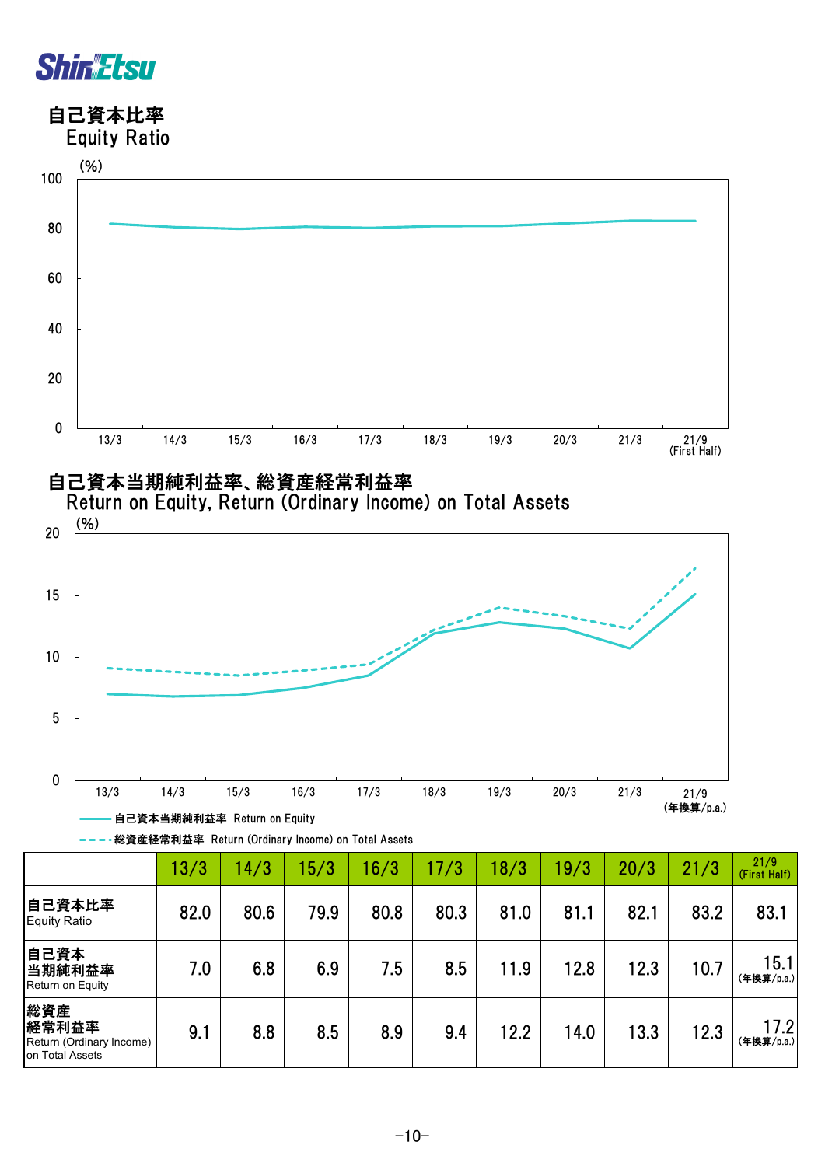

 自己資本比率 Equity Ratio





| ---格資産経常利益率 Return (Ordinary Income) on Total Assets |  |
|------------------------------------------------------|--|
|------------------------------------------------------|--|

|                                                             | 13/3 | 14/3 | 15/3 | 16/3 | 17/3 | 18/3 | 19/3 | 20/3 | 21/3 | 21/9<br>(First Half) |
|-------------------------------------------------------------|------|------|------|------|------|------|------|------|------|----------------------|
| 自己資本比率<br>Equity Ratio                                      | 82.0 | 80.6 | 79.9 | 80.8 | 80.3 | 81.0 | 81.1 | 82.1 | 83.2 | 83.1                 |
| 自己資本<br>当期純利益率<br><b>Return on Equity</b>                   | 7.0  | 6.8  | 6.9  | 7.5  | 8.5  | 11.9 | 12.8 | 12.3 | 10.7 | 15.1<br>(年換算/p.a.)   |
| 総資産<br>経常利益率<br>Return (Ordinary Income)<br>on Total Assets | 9.1  | 8.8  | 8.5  | 8.9  | 9.4  | 12.2 | 14.0 | 13.3 | 12.3 | 17.2<br>(年換算/p.a.)   |